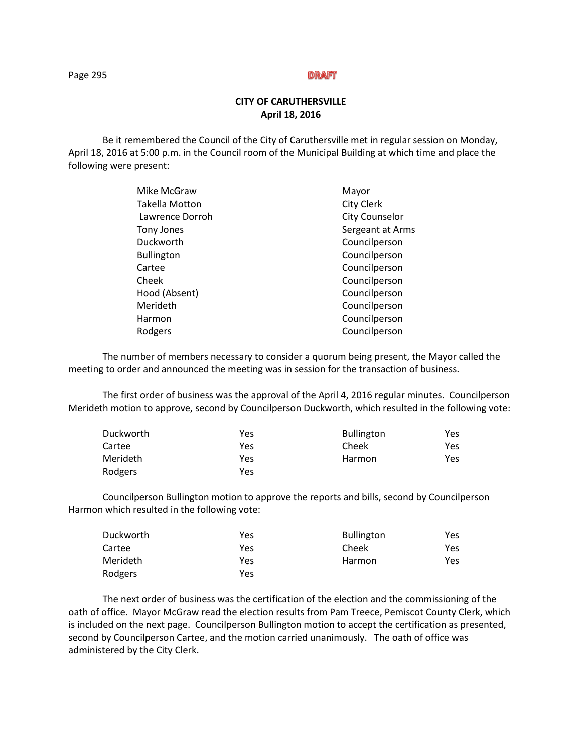### **CITY OF CARUTHERSVILLE April 18, 2016**

Be it remembered the Council of the City of Caruthersville met in regular session on Monday, April 18, 2016 at 5:00 p.m. in the Council room of the Municipal Building at which time and place the following were present:

| Mike McGraw       | Mayor                 |
|-------------------|-----------------------|
| Takella Motton    | <b>City Clerk</b>     |
| Lawrence Dorroh   | <b>City Counselor</b> |
| Tony Jones        | Sergeant at Arms      |
| Duckworth         | Councilperson         |
| <b>Bullington</b> | Councilperson         |
| Cartee            | Councilperson         |
| Cheek             | Councilperson         |
| Hood (Absent)     | Councilperson         |
| Merideth          | Councilperson         |
| Harmon            | Councilperson         |
| Rodgers           | Councilperson         |
|                   |                       |

The number of members necessary to consider a quorum being present, the Mayor called the meeting to order and announced the meeting was in session for the transaction of business.

The first order of business was the approval of the April 4, 2016 regular minutes. Councilperson Merideth motion to approve, second by Councilperson Duckworth, which resulted in the following vote:

| Duckworth | Yes | <b>Bullington</b> | Yes  |
|-----------|-----|-------------------|------|
| Cartee    | Yes | Cheek             | Yes  |
| Merideth  | Yes | Harmon            | Yes. |
| Rodgers   | Yes |                   |      |

 Councilperson Bullington motion to approve the reports and bills, second by Councilperson Harmon which resulted in the following vote:

| Duckworth       | Yes | <b>Bullington</b> | Yes |
|-----------------|-----|-------------------|-----|
| Cartee          | Yes | Cheek             | Yes |
| <b>Merideth</b> | Yes | Harmon            | Yes |
| Rodgers         | Yes |                   |     |

The next order of business was the certification of the election and the commissioning of the oath of office. Mayor McGraw read the election results from Pam Treece, Pemiscot County Clerk, which is included on the next page. Councilperson Bullington motion to accept the certification as presented, second by Councilperson Cartee, and the motion carried unanimously. The oath of office was administered by the City Clerk.

Page 295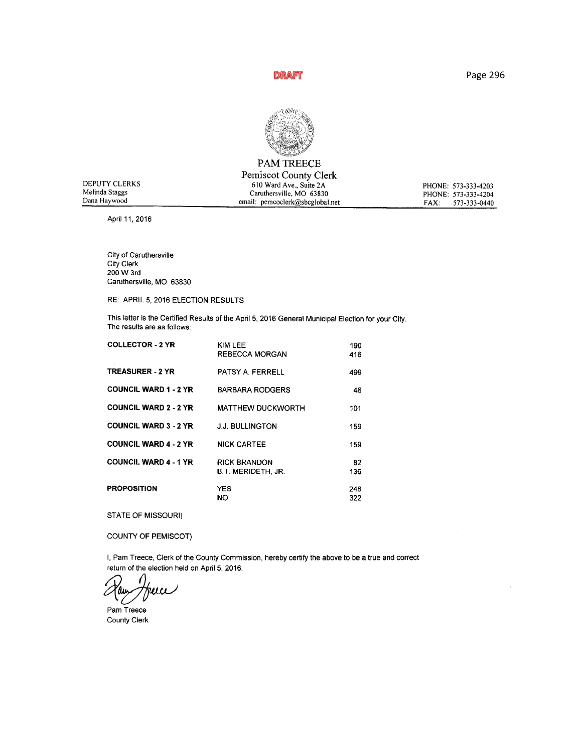Page 296



# PAM TREECE

|                | Pemiscot County Clerk           |                      |
|----------------|---------------------------------|----------------------|
| DEPUTY CLERKS  | 610 Ward Ave., Suite 2A         | PHONE: 573-333-4203  |
| Melinda Staggs | Caruthersville, MO 63830        | PHONE: 573-333-4204  |
| Dana Haywood   | email: pemcoclerk@sbcglobal.net | 573-333-0440<br>FAX: |

April 11, 2016

City of Caruthersville City Clerk<br>200 W 3rd Caruthersville, MO 63830

RE: APRIL 5, 2016 ELECTION RESULTS

This letter is the Certified Results of the April 5, 2016 General Municipal Election for your City. The results are as follows:

| <b>COLLECTOR - 2 YR</b>      | KIM LEE<br><b>REBECCA MORGAN</b>                 | 190<br>416 |
|------------------------------|--------------------------------------------------|------------|
| <b>TREASURER - 2 YR</b>      | PATSY A. FERRELL                                 | 499        |
| <b>COUNCIL WARD 1 - 2 YR</b> | <b>BARBARA RODGERS</b>                           | 46         |
| <b>COUNCIL WARD 2 - 2 YR</b> | <b>MATTHEW DUCKWORTH</b>                         | 101        |
| <b>COUNCIL WARD 3 - 2 YR</b> | <b>J.J. BULLINGTON</b>                           | 159        |
| <b>COUNCIL WARD 4 - 2 YR</b> | <b>NICK CARTEE</b>                               | 159        |
| <b>COUNCIL WARD 4 - 1 YR</b> | <b>RICK BRANDON</b><br><b>B.T. MERIDETH, JR.</b> | 82<br>136  |
| <b>PROPOSITION</b>           | YES<br>NO                                        | 246<br>322 |

STATE OF MISSOURI)

COUNTY OF PEMISCOT)

I, Pam Treece, Clerk of the County Commission, hereby certify the above to be a true and correct return of the election held on April 5, 2016.

 $\Delta \phi = 0.01$  , where  $\phi = 0.001$ 

 $\bar{z}$ 

ua

Pam Treece County Cierk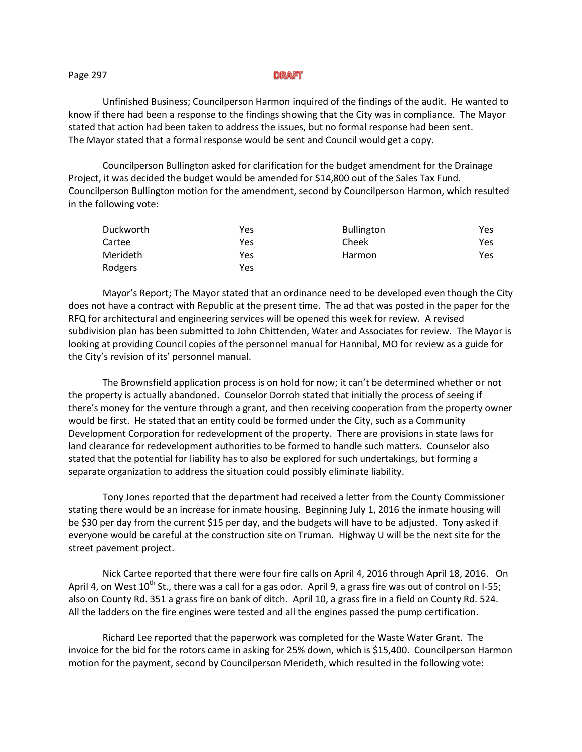#### Page 297

Unfinished Business; Councilperson Harmon inquired of the findings of the audit. He wanted to know if there had been a response to the findings showing that the City was in compliance. The Mayor stated that action had been taken to address the issues, but no formal response had been sent. The Mayor stated that a formal response would be sent and Council would get a copy.

Councilperson Bullington asked for clarification for the budget amendment for the Drainage Project, it was decided the budget would be amended for \$14,800 out of the Sales Tax Fund. Councilperson Bullington motion for the amendment, second by Councilperson Harmon, which resulted in the following vote:

| Duckworth | Yes | <b>Bullington</b> | Yes |
|-----------|-----|-------------------|-----|
| Cartee    | Yes | Cheek             | Yes |
| Merideth  | Yes | Harmon            | Yes |
| Rodgers   | Yes |                   |     |

Mayor's Report; The Mayor stated that an ordinance need to be developed even though the City does not have a contract with Republic at the present time. The ad that was posted in the paper for the RFQ for architectural and engineering services will be opened this week for review. A revised subdivision plan has been submitted to John Chittenden, Water and Associates for review. The Mayor is looking at providing Council copies of the personnel manual for Hannibal, MO for review as a guide for the City's revision of its' personnel manual.

The Brownsfield application process is on hold for now; it can't be determined whether or not the property is actually abandoned. Counselor Dorroh stated that initially the process of seeing if there's money for the venture through a grant, and then receiving cooperation from the property owner would be first. He stated that an entity could be formed under the City, such as a Community Development Corporation for redevelopment of the property. There are provisions in state laws for land clearance for redevelopment authorities to be formed to handle such matters. Counselor also stated that the potential for liability has to also be explored for such undertakings, but forming a separate organization to address the situation could possibly eliminate liability.

Tony Jones reported that the department had received a letter from the County Commissioner stating there would be an increase for inmate housing. Beginning July 1, 2016 the inmate housing will be \$30 per day from the current \$15 per day, and the budgets will have to be adjusted. Tony asked if everyone would be careful at the construction site on Truman. Highway U will be the next site for the street pavement project.

Nick Cartee reported that there were four fire calls on April 4, 2016 through April 18, 2016. On April 4, on West  $10^{th}$  St., there was a call for a gas odor. April 9, a grass fire was out of control on I-55; also on County Rd. 351 a grass fire on bank of ditch. April 10, a grass fire in a field on County Rd. 524. All the ladders on the fire engines were tested and all the engines passed the pump certification.

Richard Lee reported that the paperwork was completed for the Waste Water Grant. The invoice for the bid for the rotors came in asking for 25% down, which is \$15,400. Councilperson Harmon motion for the payment, second by Councilperson Merideth, which resulted in the following vote: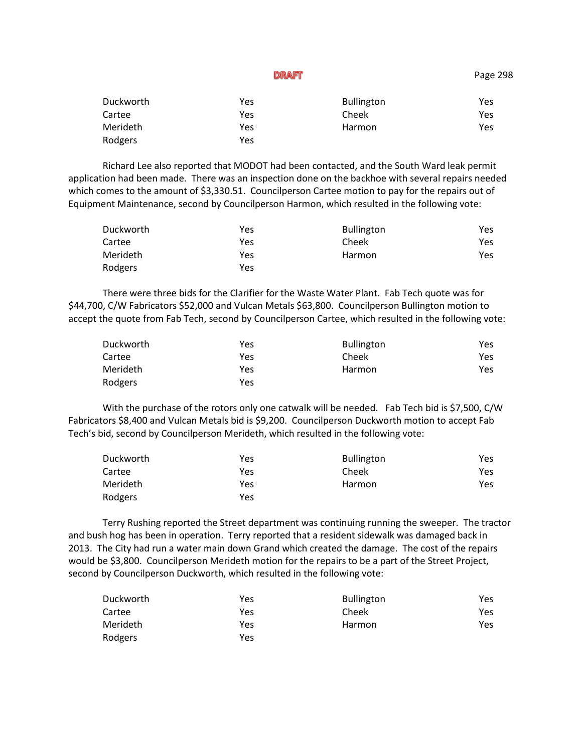| Duckworth | Yes | <b>Bullington</b> | Yes |
|-----------|-----|-------------------|-----|
| Cartee    | Yes | Cheek             | Yes |
| Merideth  | Yes | Harmon            | Yes |
| Rodgers   | Yes |                   |     |

Richard Lee also reported that MODOT had been contacted, and the South Ward leak permit application had been made. There was an inspection done on the backhoe with several repairs needed which comes to the amount of \$3,330.51. Councilperson Cartee motion to pay for the repairs out of Equipment Maintenance, second by Councilperson Harmon, which resulted in the following vote:

| Duckworth | Yes | <b>Bullington</b> | Yes |
|-----------|-----|-------------------|-----|
| Cartee    | Yes | Cheek             | Yes |
| Merideth  | Yes | Harmon            | Yes |
| Rodgers   | Yes |                   |     |

There were three bids for the Clarifier for the Waste Water Plant. Fab Tech quote was for \$44,700, C/W Fabricators \$52,000 and Vulcan Metals \$63,800. Councilperson Bullington motion to accept the quote from Fab Tech, second by Councilperson Cartee, which resulted in the following vote:

| Duckworth | Yes | <b>Bullington</b> | Yes |
|-----------|-----|-------------------|-----|
| Cartee    | Yes | Cheek             | Yes |
| Merideth  | Yes | Harmon            | Yes |
| Rodgers   | Yes |                   |     |

With the purchase of the rotors only one catwalk will be needed. Fab Tech bid is \$7,500, C/W Fabricators \$8,400 and Vulcan Metals bid is \$9,200. Councilperson Duckworth motion to accept Fab Tech's bid, second by Councilperson Merideth, which resulted in the following vote:

| Duckworth | Yes | <b>Bullington</b> | Yes |
|-----------|-----|-------------------|-----|
| Cartee    | Yes | Cheek             | Yes |
| Merideth  | Yes | Harmon            | Yes |
| Rodgers   | Yes |                   |     |

Terry Rushing reported the Street department was continuing running the sweeper. The tractor and bush hog has been in operation. Terry reported that a resident sidewalk was damaged back in 2013. The City had run a water main down Grand which created the damage. The cost of the repairs would be \$3,800. Councilperson Merideth motion for the repairs to be a part of the Street Project, second by Councilperson Duckworth, which resulted in the following vote:

| Duckworth | Yes | <b>Bullington</b> | Yes. |
|-----------|-----|-------------------|------|
| Cartee    | Yes | Cheek             | Yes. |
| Merideth  | Yes | Harmon            | Yes. |
| Rodgers   | Yes |                   |      |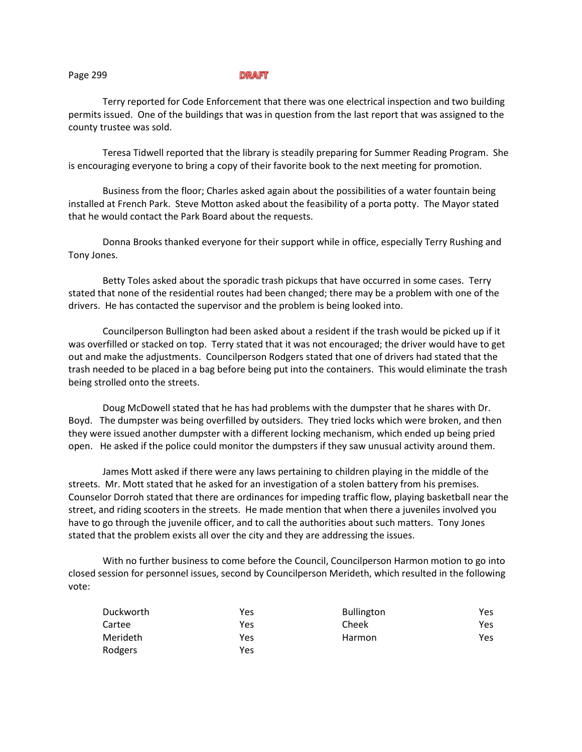Terry reported for Code Enforcement that there was one electrical inspection and two building permits issued. One of the buildings that was in question from the last report that was assigned to the county trustee was sold.

Teresa Tidwell reported that the library is steadily preparing for Summer Reading Program. She is encouraging everyone to bring a copy of their favorite book to the next meeting for promotion.

Business from the floor; Charles asked again about the possibilities of a water fountain being installed at French Park. Steve Motton asked about the feasibility of a porta potty. The Mayor stated that he would contact the Park Board about the requests.

Donna Brooks thanked everyone for their support while in office, especially Terry Rushing and Tony Jones.

Betty Toles asked about the sporadic trash pickups that have occurred in some cases. Terry stated that none of the residential routes had been changed; there may be a problem with one of the drivers. He has contacted the supervisor and the problem is being looked into.

Councilperson Bullington had been asked about a resident if the trash would be picked up if it was overfilled or stacked on top. Terry stated that it was not encouraged; the driver would have to get out and make the adjustments. Councilperson Rodgers stated that one of drivers had stated that the trash needed to be placed in a bag before being put into the containers. This would eliminate the trash being strolled onto the streets.

Doug McDowell stated that he has had problems with the dumpster that he shares with Dr. Boyd. The dumpster was being overfilled by outsiders. They tried locks which were broken, and then they were issued another dumpster with a different locking mechanism, which ended up being pried open. He asked if the police could monitor the dumpsters if they saw unusual activity around them.

James Mott asked if there were any laws pertaining to children playing in the middle of the streets. Mr. Mott stated that he asked for an investigation of a stolen battery from his premises. Counselor Dorroh stated that there are ordinances for impeding traffic flow, playing basketball near the street, and riding scooters in the streets. He made mention that when there a juveniles involved you have to go through the juvenile officer, and to call the authorities about such matters. Tony Jones stated that the problem exists all over the city and they are addressing the issues.

With no further business to come before the Council, Councilperson Harmon motion to go into closed session for personnel issues, second by Councilperson Merideth, which resulted in the following vote:

| Duckworth | Yes | <b>Bullington</b> | Yes |
|-----------|-----|-------------------|-----|
| Cartee    | Yes | Cheek             | Yes |
| Merideth  | Yes | Harmon            | Yes |
| Rodgers   | Yes |                   |     |

Page 299